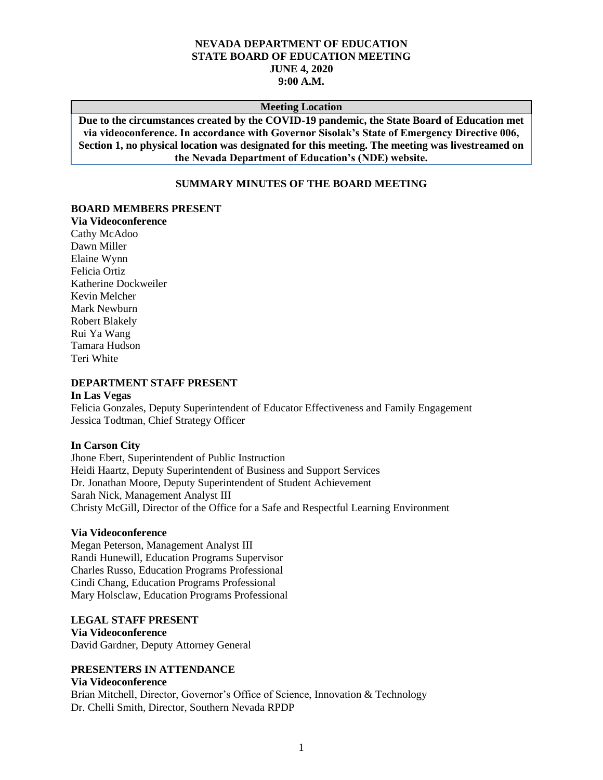# **NEVADA DEPARTMENT OF EDUCATION STATE BOARD OF EDUCATION MEETING JUNE 4, 2020 9:00 A.M.**

#### **Meeting Location**

**Due to the circumstances created by the COVID-19 pandemic, the State Board of Education met via videoconference. In accordance with Governor Sisolak's State of Emergency Directive 006, Section 1, no physical location was designated for this meeting. The meeting was livestreamed on the Nevada Department of Education's (NDE) website.**

# **SUMMARY MINUTES OF THE BOARD MEETING**

#### **BOARD MEMBERS PRESENT**

**Via Videoconference** Cathy McAdoo Dawn Miller Elaine Wynn Felicia Ortiz Katherine Dockweiler Kevin Melcher Mark Newburn Robert Blakely Rui Ya Wang Tamara Hudson Teri White

#### **DEPARTMENT STAFF PRESENT**

#### **In Las Vegas**

Felicia Gonzales, Deputy Superintendent of Educator Effectiveness and Family Engagement Jessica Todtman, Chief Strategy Officer

#### **In Carson City**

Jhone Ebert, Superintendent of Public Instruction Heidi Haartz, Deputy Superintendent of Business and Support Services Dr. Jonathan Moore, Deputy Superintendent of Student Achievement Sarah Nick, Management Analyst III Christy McGill, Director of the Office for a Safe and Respectful Learning Environment

#### **Via Videoconference**

Megan Peterson, Management Analyst III Randi Hunewill, Education Programs Supervisor Charles Russo, Education Programs Professional Cindi Chang, Education Programs Professional Mary Holsclaw, Education Programs Professional

#### **LEGAL STAFF PRESENT**

#### **Via Videoconference**

David Gardner, Deputy Attorney General

# **PRESENTERS IN ATTENDANCE**

# **Via Videoconference**

Brian Mitchell, Director, Governor's Office of Science, Innovation & Technology Dr. Chelli Smith, Director, Southern Nevada RPDP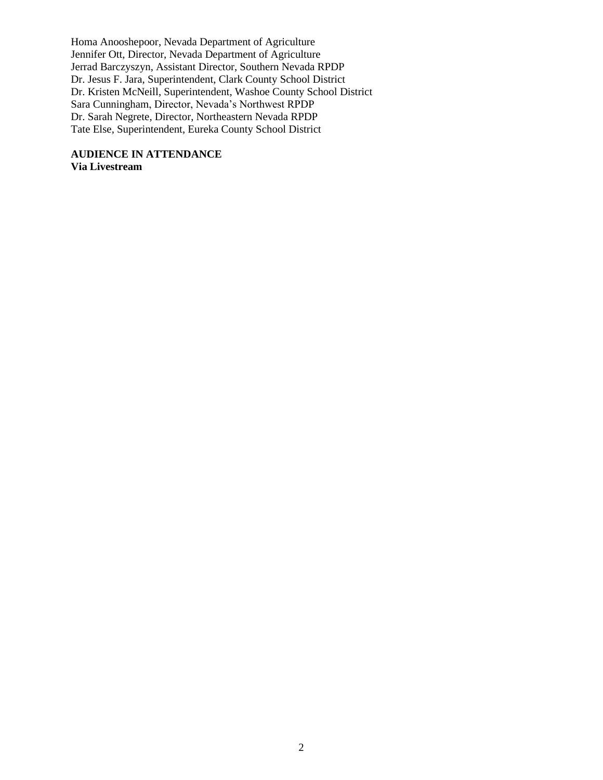Homa Anooshepoor, Nevada Department of Agriculture Jennifer Ott, Director, Nevada Department of Agriculture Jerrad Barczyszyn, Assistant Director, Southern Nevada RPDP Dr. Jesus F. Jara, Superintendent, Clark County School District Dr. Kristen McNeill, Superintendent, Washoe County School District Sara Cunningham, Director, Nevada's Northwest RPDP Dr. Sarah Negrete, Director, Northeastern Nevada RPDP Tate Else, Superintendent, Eureka County School District

**AUDIENCE IN ATTENDANCE Via Livestream**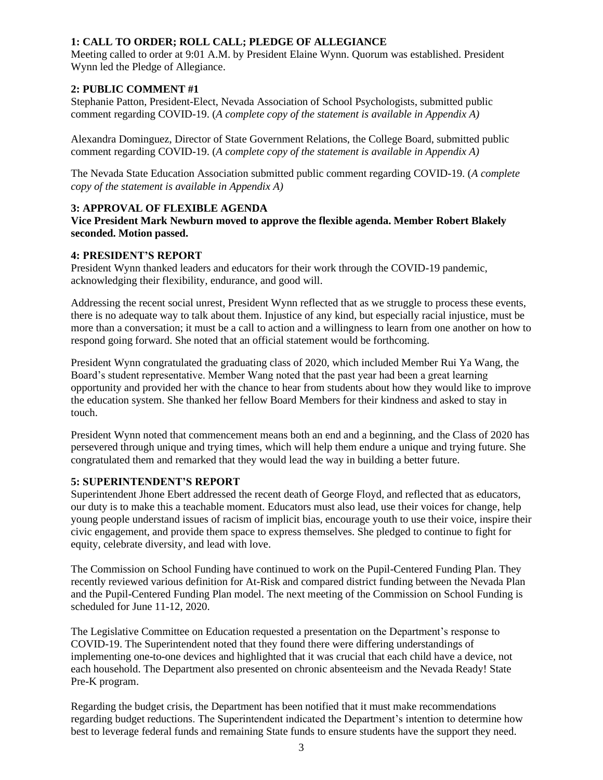# **1: CALL TO ORDER; ROLL CALL; PLEDGE OF ALLEGIANCE**

Meeting called to order at 9:01 A.M. by President Elaine Wynn. Quorum was established. President Wynn led the Pledge of Allegiance.

# **2: PUBLIC COMMENT #1**

Stephanie Patton, President-Elect, Nevada Association of School Psychologists, submitted public comment regarding COVID-19. (*A complete copy of the statement is available in Appendix A)*

Alexandra Dominguez, Director of State Government Relations, the College Board, submitted public comment regarding COVID-19. (*A complete copy of the statement is available in Appendix A)*

The Nevada State Education Association submitted public comment regarding COVID-19. (*A complete copy of the statement is available in Appendix A)*

# **3: APPROVAL OF FLEXIBLE AGENDA**

**Vice President Mark Newburn moved to approve the flexible agenda. Member Robert Blakely seconded. Motion passed.** 

# **4: PRESIDENT'S REPORT**

President Wynn thanked leaders and educators for their work through the COVID-19 pandemic, acknowledging their flexibility, endurance, and good will.

Addressing the recent social unrest, President Wynn reflected that as we struggle to process these events, there is no adequate way to talk about them. Injustice of any kind, but especially racial injustice, must be more than a conversation; it must be a call to action and a willingness to learn from one another on how to respond going forward. She noted that an official statement would be forthcoming.

President Wynn congratulated the graduating class of 2020, which included Member Rui Ya Wang, the Board's student representative. Member Wang noted that the past year had been a great learning opportunity and provided her with the chance to hear from students about how they would like to improve the education system. She thanked her fellow Board Members for their kindness and asked to stay in touch.

President Wynn noted that commencement means both an end and a beginning, and the Class of 2020 has persevered through unique and trying times, which will help them endure a unique and trying future. She congratulated them and remarked that they would lead the way in building a better future.

# **5: SUPERINTENDENT'S REPORT**

Superintendent Jhone Ebert addressed the recent death of George Floyd, and reflected that as educators, our duty is to make this a teachable moment. Educators must also lead, use their voices for change, help young people understand issues of racism of implicit bias, encourage youth to use their voice, inspire their civic engagement, and provide them space to express themselves. She pledged to continue to fight for equity, celebrate diversity, and lead with love.

The Commission on School Funding have continued to work on the Pupil-Centered Funding Plan. They recently reviewed various definition for At-Risk and compared district funding between the Nevada Plan and the Pupil-Centered Funding Plan model. The next meeting of the Commission on School Funding is scheduled for June 11-12, 2020.

The Legislative Committee on Education requested a presentation on the Department's response to COVID-19. The Superintendent noted that they found there were differing understandings of implementing one-to-one devices and highlighted that it was crucial that each child have a device, not each household. The Department also presented on chronic absenteeism and the Nevada Ready! State Pre-K program.

Regarding the budget crisis, the Department has been notified that it must make recommendations regarding budget reductions. The Superintendent indicated the Department's intention to determine how best to leverage federal funds and remaining State funds to ensure students have the support they need.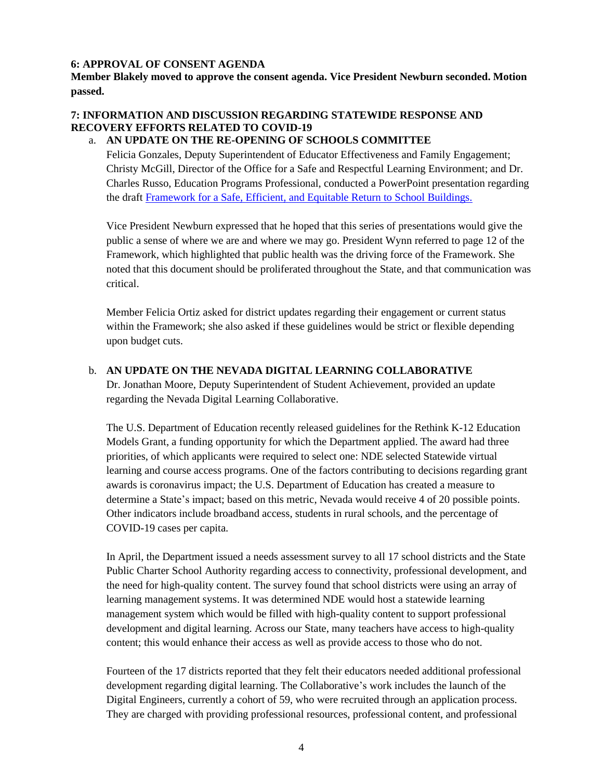# **6: APPROVAL OF CONSENT AGENDA**

**Member Blakely moved to approve the consent agenda. Vice President Newburn seconded. Motion passed.** 

# **7: INFORMATION AND DISCUSSION REGARDING STATEWIDE RESPONSE AND RECOVERY EFFORTS RELATED TO COVID-19**

# a. **AN UPDATE ON THE RE-OPENING OF SCHOOLS COMMITTEE**

Felicia Gonzales, Deputy Superintendent of Educator Effectiveness and Family Engagement; Christy McGill, Director of the Office for a Safe and Respectful Learning Environment; and Dr. Charles Russo, Education Programs Professional, conducted a PowerPoint presentation regarding the draft [Framework for a Safe, Efficient, and Equitable Return to School Buildings.](http://www.doe.nv.gov/uploadedFiles/ndedoenvgov/content/Boards_Commissions_Councils/State_Board_of_Education/2020/June/Nevada_Path_Forward.pdf)

Vice President Newburn expressed that he hoped that this series of presentations would give the public a sense of where we are and where we may go. President Wynn referred to page 12 of the Framework, which highlighted that public health was the driving force of the Framework. She noted that this document should be proliferated throughout the State, and that communication was critical.

Member Felicia Ortiz asked for district updates regarding their engagement or current status within the Framework; she also asked if these guidelines would be strict or flexible depending upon budget cuts.

# b. **AN UPDATE ON THE NEVADA DIGITAL LEARNING COLLABORATIVE**

Dr. Jonathan Moore, Deputy Superintendent of Student Achievement, provided an update regarding the Nevada Digital Learning Collaborative.

The U.S. Department of Education recently released guidelines for the Rethink K-12 Education Models Grant, a funding opportunity for which the Department applied. The award had three priorities, of which applicants were required to select one: NDE selected Statewide virtual learning and course access programs. One of the factors contributing to decisions regarding grant awards is coronavirus impact; the U.S. Department of Education has created a measure to determine a State's impact; based on this metric, Nevada would receive 4 of 20 possible points. Other indicators include broadband access, students in rural schools, and the percentage of COVID-19 cases per capita.

In April, the Department issued a needs assessment survey to all 17 school districts and the State Public Charter School Authority regarding access to connectivity, professional development, and the need for high-quality content. The survey found that school districts were using an array of learning management systems. It was determined NDE would host a statewide learning management system which would be filled with high-quality content to support professional development and digital learning. Across our State, many teachers have access to high-quality content; this would enhance their access as well as provide access to those who do not.

Fourteen of the 17 districts reported that they felt their educators needed additional professional development regarding digital learning. The Collaborative's work includes the launch of the Digital Engineers, currently a cohort of 59, who were recruited through an application process. They are charged with providing professional resources, professional content, and professional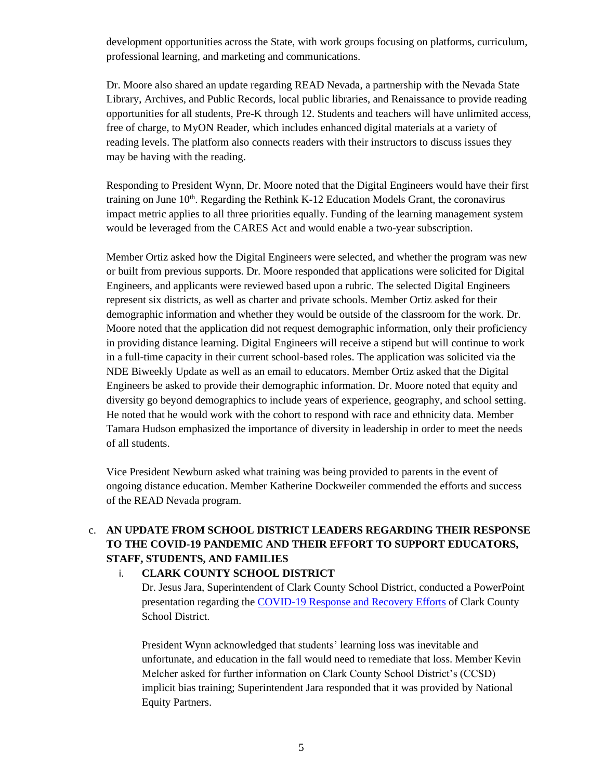development opportunities across the State, with work groups focusing on platforms, curriculum, professional learning, and marketing and communications.

Dr. Moore also shared an update regarding READ Nevada, a partnership with the Nevada State Library, Archives, and Public Records, local public libraries, and Renaissance to provide reading opportunities for all students, Pre-K through 12. Students and teachers will have unlimited access, free of charge, to MyON Reader, which includes enhanced digital materials at a variety of reading levels. The platform also connects readers with their instructors to discuss issues they may be having with the reading.

Responding to President Wynn, Dr. Moore noted that the Digital Engineers would have their first training on June  $10<sup>th</sup>$ . Regarding the Rethink K-12 Education Models Grant, the coronavirus impact metric applies to all three priorities equally. Funding of the learning management system would be leveraged from the CARES Act and would enable a two-year subscription.

Member Ortiz asked how the Digital Engineers were selected, and whether the program was new or built from previous supports. Dr. Moore responded that applications were solicited for Digital Engineers, and applicants were reviewed based upon a rubric. The selected Digital Engineers represent six districts, as well as charter and private schools. Member Ortiz asked for their demographic information and whether they would be outside of the classroom for the work. Dr. Moore noted that the application did not request demographic information, only their proficiency in providing distance learning. Digital Engineers will receive a stipend but will continue to work in a full-time capacity in their current school-based roles. The application was solicited via the NDE Biweekly Update as well as an email to educators. Member Ortiz asked that the Digital Engineers be asked to provide their demographic information. Dr. Moore noted that equity and diversity go beyond demographics to include years of experience, geography, and school setting. He noted that he would work with the cohort to respond with race and ethnicity data. Member Tamara Hudson emphasized the importance of diversity in leadership in order to meet the needs of all students.

Vice President Newburn asked what training was being provided to parents in the event of ongoing distance education. Member Katherine Dockweiler commended the efforts and success of the READ Nevada program.

# c. **AN UPDATE FROM SCHOOL DISTRICT LEADERS REGARDING THEIR RESPONSE TO THE COVID-19 PANDEMIC AND THEIR EFFORT TO SUPPORT EDUCATORS, STAFF, STUDENTS, AND FAMILIES**

# i. **CLARK COUNTY SCHOOL DISTRICT**

Dr. Jesus Jara, Superintendent of Clark County School District, conducted a PowerPoint presentation regarding the [COVID-19 Response and Recovery Efforts](http://www.doe.nv.gov/Boards_Commissions_Councils/State_Board_of_Education/2020/June/Support_Materials/) of Clark County School District.

President Wynn acknowledged that students' learning loss was inevitable and unfortunate, and education in the fall would need to remediate that loss. Member Kevin Melcher asked for further information on Clark County School District's (CCSD) implicit bias training; Superintendent Jara responded that it was provided by National Equity Partners.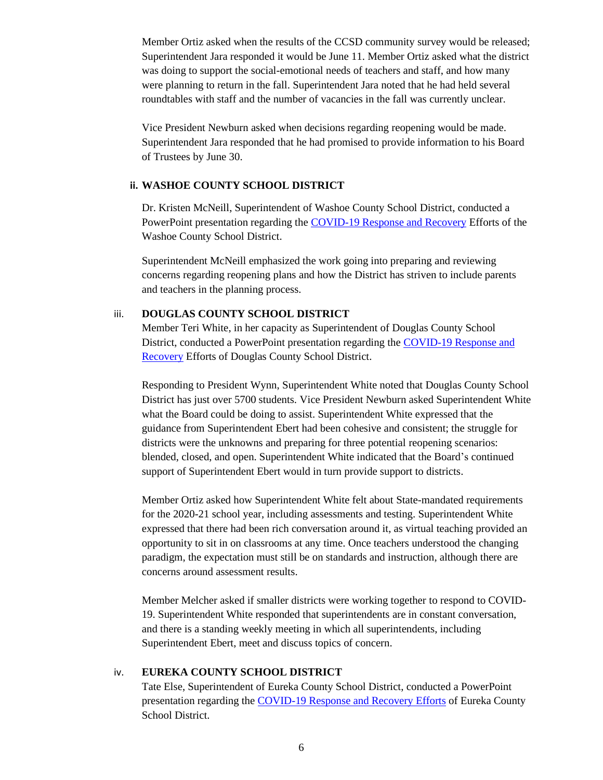Member Ortiz asked when the results of the CCSD community survey would be released; Superintendent Jara responded it would be June 11. Member Ortiz asked what the district was doing to support the social-emotional needs of teachers and staff, and how many were planning to return in the fall. Superintendent Jara noted that he had held several roundtables with staff and the number of vacancies in the fall was currently unclear.

Vice President Newburn asked when decisions regarding reopening would be made. Superintendent Jara responded that he had promised to provide information to his Board of Trustees by June 30.

# **ii. WASHOE COUNTY SCHOOL DISTRICT**

Dr. Kristen McNeill, Superintendent of Washoe County School District, conducted a PowerPoint presentation regarding the [COVID-19 Response and Recovery](http://www.doe.nv.gov/Boards_Commissions_Councils/State_Board_of_Education/2020/June/Support_Materials/) Efforts of the Washoe County School District.

Superintendent McNeill emphasized the work going into preparing and reviewing concerns regarding reopening plans and how the District has striven to include parents and teachers in the planning process.

# iii. **DOUGLAS COUNTY SCHOOL DISTRICT**

Member Teri White, in her capacity as Superintendent of Douglas County School District, conducted a PowerPoint presentation regarding the [COVID-19 Response and](http://www.doe.nv.gov/uploadedFiles/ndedoenvgov/content/Boards_Commissions_Councils/State_Board_of_Education/2020/June/DCSDStateBoard.pdf)  [Recovery](http://www.doe.nv.gov/uploadedFiles/ndedoenvgov/content/Boards_Commissions_Councils/State_Board_of_Education/2020/June/DCSDStateBoard.pdf) Efforts of Douglas County School District.

Responding to President Wynn, Superintendent White noted that Douglas County School District has just over 5700 students. Vice President Newburn asked Superintendent White what the Board could be doing to assist. Superintendent White expressed that the guidance from Superintendent Ebert had been cohesive and consistent; the struggle for districts were the unknowns and preparing for three potential reopening scenarios: blended, closed, and open. Superintendent White indicated that the Board's continued support of Superintendent Ebert would in turn provide support to districts.

Member Ortiz asked how Superintendent White felt about State-mandated requirements for the 2020-21 school year, including assessments and testing. Superintendent White expressed that there had been rich conversation around it, as virtual teaching provided an opportunity to sit in on classrooms at any time. Once teachers understood the changing paradigm, the expectation must still be on standards and instruction, although there are concerns around assessment results.

Member Melcher asked if smaller districts were working together to respond to COVID-19. Superintendent White responded that superintendents are in constant conversation, and there is a standing weekly meeting in which all superintendents, including Superintendent Ebert, meet and discuss topics of concern.

# iv. **EUREKA COUNTY SCHOOL DISTRICT**

Tate Else, Superintendent of Eureka County School District, conducted a PowerPoint presentation regarding the [COVID-19 Response and Recovery Efforts](http://www.doe.nv.gov/uploadedFiles/ndedoenvgov/content/Boards_Commissions_Councils/State_Board_of_Education/2020/June/BoardofEd_Eureka.pdf) of Eureka County School District.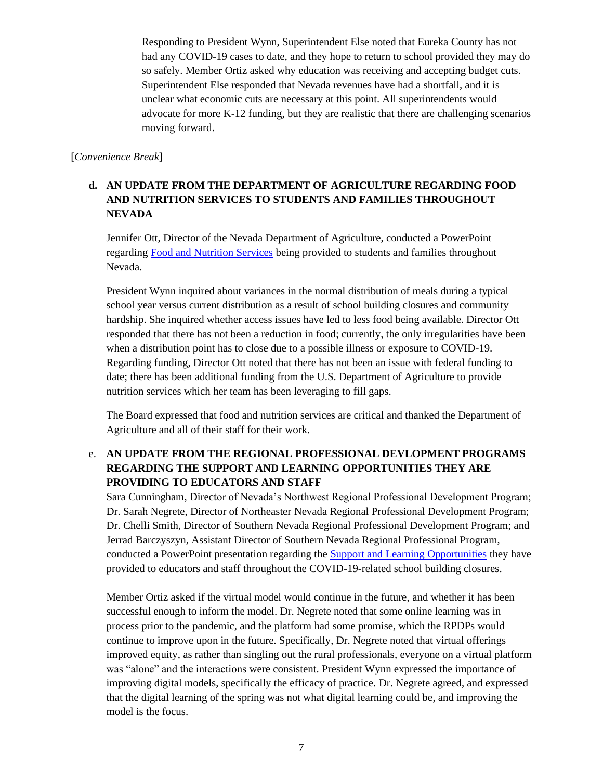Responding to President Wynn, Superintendent Else noted that Eureka County has not had any COVID-19 cases to date, and they hope to return to school provided they may do so safely. Member Ortiz asked why education was receiving and accepting budget cuts. Superintendent Else responded that Nevada revenues have had a shortfall, and it is unclear what economic cuts are necessary at this point. All superintendents would advocate for more K-12 funding, but they are realistic that there are challenging scenarios moving forward.

# [*Convenience Break*]

# **d. AN UPDATE FROM THE DEPARTMENT OF AGRICULTURE REGARDING FOOD AND NUTRITION SERVICES TO STUDENTS AND FAMILIES THROUGHOUT NEVADA**

Jennifer Ott, Director of the Nevada Department of Agriculture, conducted a PowerPoint regarding [Food and Nutrition Services](http://www.doe.nv.gov/uploadedFiles/ndedoenvgov/content/Boards_Commissions_Councils/State_Board_of_Education/2020/June/NDA_NDE052720.pdf) being provided to students and families throughout Nevada.

President Wynn inquired about variances in the normal distribution of meals during a typical school year versus current distribution as a result of school building closures and community hardship. She inquired whether access issues have led to less food being available. Director Ott responded that there has not been a reduction in food; currently, the only irregularities have been when a distribution point has to close due to a possible illness or exposure to COVID-19. Regarding funding, Director Ott noted that there has not been an issue with federal funding to date; there has been additional funding from the U.S. Department of Agriculture to provide nutrition services which her team has been leveraging to fill gaps.

The Board expressed that food and nutrition services are critical and thanked the Department of Agriculture and all of their staff for their work.

# e. **AN UPDATE FROM THE REGIONAL PROFESSIONAL DEVLOPMENT PROGRAMS REGARDING THE SUPPORT AND LEARNING OPPORTUNITIES THEY ARE PROVIDING TO EDUCATORS AND STAFF**

Sara Cunningham, Director of Nevada's Northwest Regional Professional Development Program; Dr. Sarah Negrete, Director of Northeaster Nevada Regional Professional Development Program; Dr. Chelli Smith, Director of Southern Nevada Regional Professional Development Program; and Jerrad Barczyszyn, Assistant Director of Southern Nevada Regional Professional Program, conducted a PowerPoint presentation regarding the **Support and Learning Opportunities** they have provided to educators and staff throughout the COVID-19-related school building closures.

Member Ortiz asked if the virtual model would continue in the future, and whether it has been successful enough to inform the model. Dr. Negrete noted that some online learning was in process prior to the pandemic, and the platform had some promise, which the RPDPs would continue to improve upon in the future. Specifically, Dr. Negrete noted that virtual offerings improved equity, as rather than singling out the rural professionals, everyone on a virtual platform was "alone" and the interactions were consistent. President Wynn expressed the importance of improving digital models, specifically the efficacy of practice. Dr. Negrete agreed, and expressed that the digital learning of the spring was not what digital learning could be, and improving the model is the focus.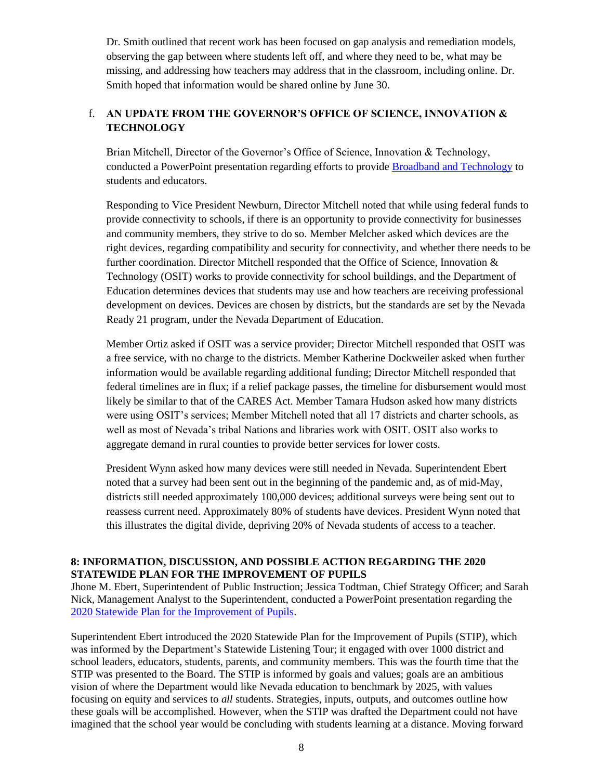Dr. Smith outlined that recent work has been focused on gap analysis and remediation models, observing the gap between where students left off, and where they need to be, what may be missing, and addressing how teachers may address that in the classroom, including online. Dr. Smith hoped that information would be shared online by June 30.

# f. **AN UPDATE FROM THE GOVERNOR'S OFFICE OF SCIENCE, INNOVATION & TECHNOLOGY**

Brian Mitchell, Director of the Governor's Office of Science, Innovation & Technology, conducted a PowerPoint presentation regarding efforts to provide [Broadband and Technology](http://www.doe.nv.gov/Boards_Commissions_Councils/State_Board_of_Education/2020/June/Support_Materials/) to students and educators.

Responding to Vice President Newburn, Director Mitchell noted that while using federal funds to provide connectivity to schools, if there is an opportunity to provide connectivity for businesses and community members, they strive to do so. Member Melcher asked which devices are the right devices, regarding compatibility and security for connectivity, and whether there needs to be further coordination. Director Mitchell responded that the Office of Science, Innovation & Technology (OSIT) works to provide connectivity for school buildings, and the Department of Education determines devices that students may use and how teachers are receiving professional development on devices. Devices are chosen by districts, but the standards are set by the Nevada Ready 21 program, under the Nevada Department of Education.

Member Ortiz asked if OSIT was a service provider; Director Mitchell responded that OSIT was a free service, with no charge to the districts. Member Katherine Dockweiler asked when further information would be available regarding additional funding; Director Mitchell responded that federal timelines are in flux; if a relief package passes, the timeline for disbursement would most likely be similar to that of the CARES Act. Member Tamara Hudson asked how many districts were using OSIT's services; Member Mitchell noted that all 17 districts and charter schools, as well as most of Nevada's tribal Nations and libraries work with OSIT. OSIT also works to aggregate demand in rural counties to provide better services for lower costs.

President Wynn asked how many devices were still needed in Nevada. Superintendent Ebert noted that a survey had been sent out in the beginning of the pandemic and, as of mid-May, districts still needed approximately 100,000 devices; additional surveys were being sent out to reassess current need. Approximately 80% of students have devices. President Wynn noted that this illustrates the digital divide, depriving 20% of Nevada students of access to a teacher.

# **8: INFORMATION, DISCUSSION, AND POSSIBLE ACTION REGARDING THE 2020 STATEWIDE PLAN FOR THE IMPROVEMENT OF PUPILS**

Jhone M. Ebert, Superintendent of Public Instruction; Jessica Todtman, Chief Strategy Officer; and Sarah Nick, Management Analyst to the Superintendent, conducted a PowerPoint presentation regarding the [2020 Statewide Plan for the Improvement of Pupils.](http://www.doe.nv.gov/Boards_Commissions_Councils/State_Board_of_Education/2020/June/Support_Materials/)

Superintendent Ebert introduced the 2020 Statewide Plan for the Improvement of Pupils (STIP), which was informed by the Department's Statewide Listening Tour; it engaged with over 1000 district and school leaders, educators, students, parents, and community members. This was the fourth time that the STIP was presented to the Board. The STIP is informed by goals and values; goals are an ambitious vision of where the Department would like Nevada education to benchmark by 2025, with values focusing on equity and services to *all* students. Strategies, inputs, outputs, and outcomes outline how these goals will be accomplished. However, when the STIP was drafted the Department could not have imagined that the school year would be concluding with students learning at a distance. Moving forward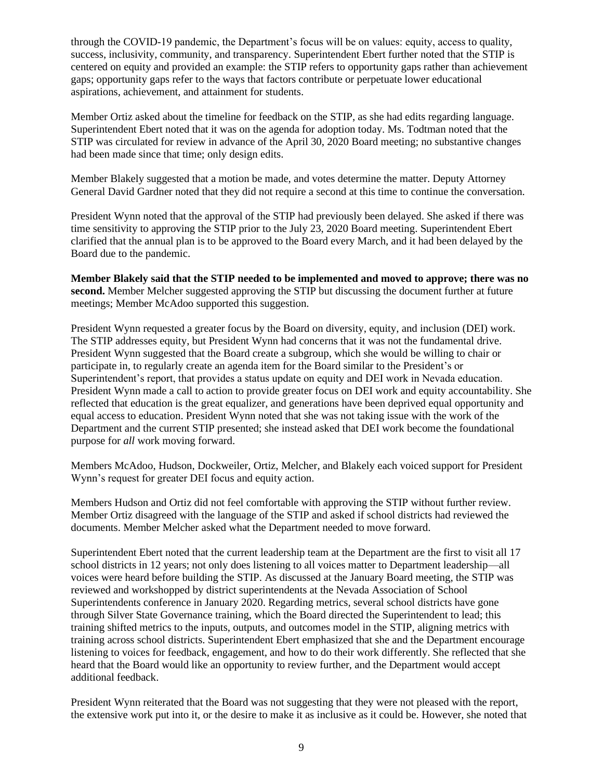through the COVID-19 pandemic, the Department's focus will be on values: equity, access to quality, success, inclusivity, community, and transparency. Superintendent Ebert further noted that the STIP is centered on equity and provided an example: the STIP refers to opportunity gaps rather than achievement gaps; opportunity gaps refer to the ways that factors contribute or perpetuate lower educational aspirations, achievement, and attainment for students.

Member Ortiz asked about the timeline for feedback on the STIP, as she had edits regarding language. Superintendent Ebert noted that it was on the agenda for adoption today. Ms. Todtman noted that the STIP was circulated for review in advance of the April 30, 2020 Board meeting; no substantive changes had been made since that time; only design edits.

Member Blakely suggested that a motion be made, and votes determine the matter. Deputy Attorney General David Gardner noted that they did not require a second at this time to continue the conversation.

President Wynn noted that the approval of the STIP had previously been delayed. She asked if there was time sensitivity to approving the STIP prior to the July 23, 2020 Board meeting. Superintendent Ebert clarified that the annual plan is to be approved to the Board every March, and it had been delayed by the Board due to the pandemic.

**Member Blakely said that the STIP needed to be implemented and moved to approve; there was no second.** Member Melcher suggested approving the STIP but discussing the document further at future meetings; Member McAdoo supported this suggestion.

President Wynn requested a greater focus by the Board on diversity, equity, and inclusion (DEI) work. The STIP addresses equity, but President Wynn had concerns that it was not the fundamental drive. President Wynn suggested that the Board create a subgroup, which she would be willing to chair or participate in, to regularly create an agenda item for the Board similar to the President's or Superintendent's report, that provides a status update on equity and DEI work in Nevada education. President Wynn made a call to action to provide greater focus on DEI work and equity accountability. She reflected that education is the great equalizer, and generations have been deprived equal opportunity and equal access to education. President Wynn noted that she was not taking issue with the work of the Department and the current STIP presented; she instead asked that DEI work become the foundational purpose for *all* work moving forward.

Members McAdoo, Hudson, Dockweiler, Ortiz, Melcher, and Blakely each voiced support for President Wynn's request for greater DEI focus and equity action.

Members Hudson and Ortiz did not feel comfortable with approving the STIP without further review. Member Ortiz disagreed with the language of the STIP and asked if school districts had reviewed the documents. Member Melcher asked what the Department needed to move forward.

Superintendent Ebert noted that the current leadership team at the Department are the first to visit all 17 school districts in 12 years; not only does listening to all voices matter to Department leadership—all voices were heard before building the STIP. As discussed at the January Board meeting, the STIP was reviewed and workshopped by district superintendents at the Nevada Association of School Superintendents conference in January 2020. Regarding metrics, several school districts have gone through Silver State Governance training, which the Board directed the Superintendent to lead; this training shifted metrics to the inputs, outputs, and outcomes model in the STIP, aligning metrics with training across school districts. Superintendent Ebert emphasized that she and the Department encourage listening to voices for feedback, engagement, and how to do their work differently. She reflected that she heard that the Board would like an opportunity to review further, and the Department would accept additional feedback.

President Wynn reiterated that the Board was not suggesting that they were not pleased with the report, the extensive work put into it, or the desire to make it as inclusive as it could be. However, she noted that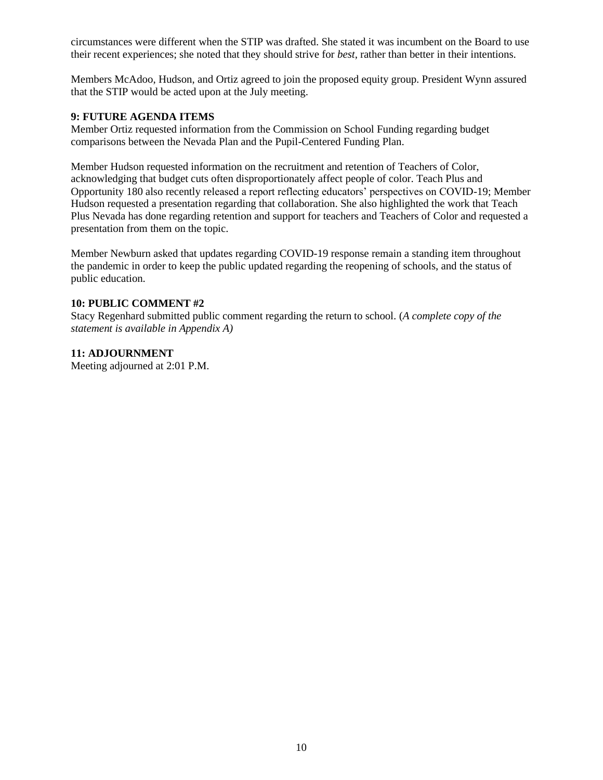circumstances were different when the STIP was drafted. She stated it was incumbent on the Board to use their recent experiences; she noted that they should strive for *best*, rather than better in their intentions.

Members McAdoo, Hudson, and Ortiz agreed to join the proposed equity group. President Wynn assured that the STIP would be acted upon at the July meeting.

## **9: FUTURE AGENDA ITEMS**

Member Ortiz requested information from the Commission on School Funding regarding budget comparisons between the Nevada Plan and the Pupil-Centered Funding Plan.

Member Hudson requested information on the recruitment and retention of Teachers of Color, acknowledging that budget cuts often disproportionately affect people of color. Teach Plus and Opportunity 180 also recently released a report reflecting educators' perspectives on COVID-19; Member Hudson requested a presentation regarding that collaboration. She also highlighted the work that Teach Plus Nevada has done regarding retention and support for teachers and Teachers of Color and requested a presentation from them on the topic.

Member Newburn asked that updates regarding COVID-19 response remain a standing item throughout the pandemic in order to keep the public updated regarding the reopening of schools, and the status of public education.

# **10: PUBLIC COMMENT #2**

Stacy Regenhard submitted public comment regarding the return to school. (*A complete copy of the statement is available in Appendix A)*

## **11: ADJOURNMENT**

Meeting adjourned at 2:01 P.M.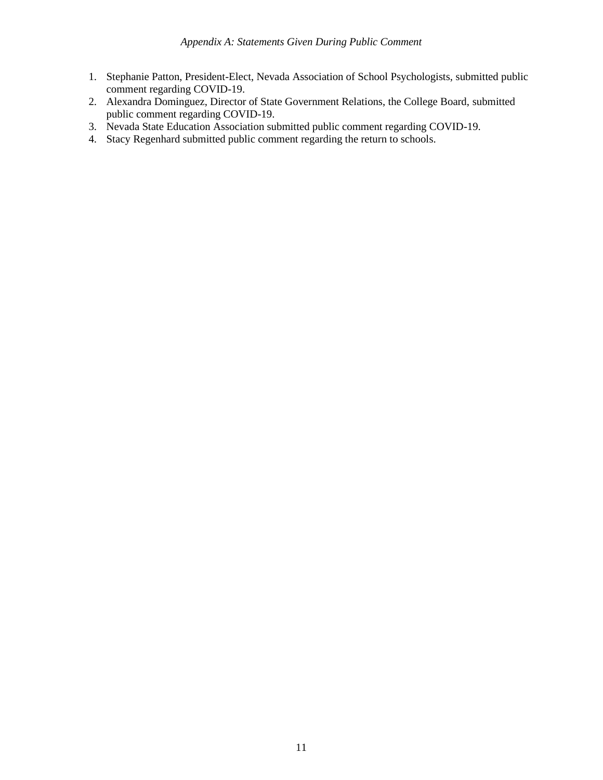- 1. Stephanie Patton, President-Elect, Nevada Association of School Psychologists, submitted public comment regarding COVID-19.
- 2. Alexandra Dominguez, Director of State Government Relations, the College Board, submitted public comment regarding COVID-19.
- 3. Nevada State Education Association submitted public comment regarding COVID-19.
- 4. Stacy Regenhard submitted public comment regarding the return to schools.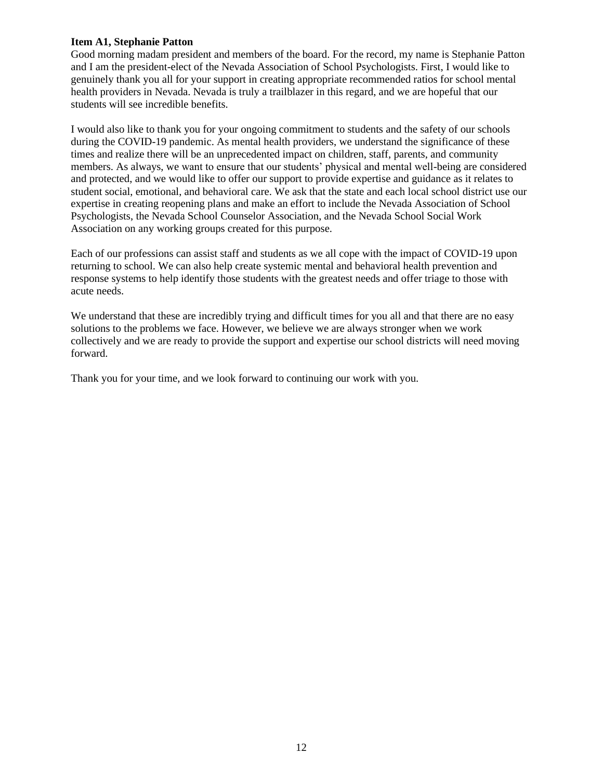## **Item A1, Stephanie Patton**

Good morning madam president and members of the board. For the record, my name is Stephanie Patton and I am the president-elect of the Nevada Association of School Psychologists. First, I would like to genuinely thank you all for your support in creating appropriate recommended ratios for school mental health providers in Nevada. Nevada is truly a trailblazer in this regard, and we are hopeful that our students will see incredible benefits.

I would also like to thank you for your ongoing commitment to students and the safety of our schools during the COVID-19 pandemic. As mental health providers, we understand the significance of these times and realize there will be an unprecedented impact on children, staff, parents, and community members. As always, we want to ensure that our students' physical and mental well-being are considered and protected, and we would like to offer our support to provide expertise and guidance as it relates to student social, emotional, and behavioral care. We ask that the state and each local school district use our expertise in creating reopening plans and make an effort to include the Nevada Association of School Psychologists, the Nevada School Counselor Association, and the Nevada School Social Work Association on any working groups created for this purpose.

Each of our professions can assist staff and students as we all cope with the impact of COVID-19 upon returning to school. We can also help create systemic mental and behavioral health prevention and response systems to help identify those students with the greatest needs and offer triage to those with acute needs.

We understand that these are incredibly trying and difficult times for you all and that there are no easy solutions to the problems we face. However, we believe we are always stronger when we work collectively and we are ready to provide the support and expertise our school districts will need moving forward.

Thank you for your time, and we look forward to continuing our work with you.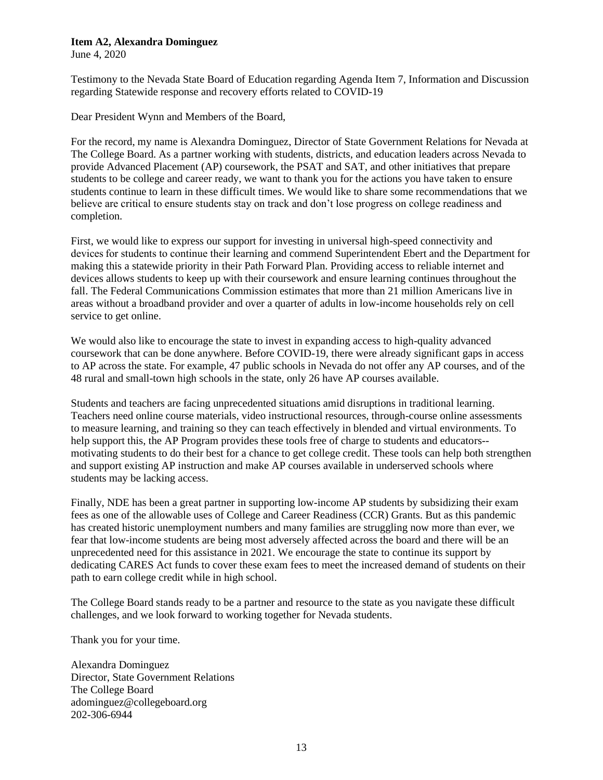## **Item A2, Alexandra Dominguez**

June 4, 2020

Testimony to the Nevada State Board of Education regarding Agenda Item 7, Information and Discussion regarding Statewide response and recovery efforts related to COVID-19

Dear President Wynn and Members of the Board,

For the record, my name is Alexandra Dominguez, Director of State Government Relations for Nevada at The College Board. As a partner working with students, districts, and education leaders across Nevada to provide Advanced Placement (AP) coursework, the PSAT and SAT, and other initiatives that prepare students to be college and career ready, we want to thank you for the actions you have taken to ensure students continue to learn in these difficult times. We would like to share some recommendations that we believe are critical to ensure students stay on track and don't lose progress on college readiness and completion.

First, we would like to express our support for investing in universal high-speed connectivity and devices for students to continue their learning and commend Superintendent Ebert and the Department for making this a statewide priority in their Path Forward Plan. Providing access to reliable internet and devices allows students to keep up with their coursework and ensure learning continues throughout the fall. The Federal Communications Commission estimates that more than 21 million Americans live in areas without a broadband provider and over a quarter of adults in low-income households rely on cell service to get online.

We would also like to encourage the state to invest in expanding access to high-quality advanced coursework that can be done anywhere. Before COVID-19, there were already significant gaps in access to AP across the state. For example, 47 public schools in Nevada do not offer any AP courses, and of the 48 rural and small-town high schools in the state, only 26 have AP courses available.

Students and teachers are facing unprecedented situations amid disruptions in traditional learning. Teachers need online course materials, video instructional resources, through-course online assessments to measure learning, and training so they can teach effectively in blended and virtual environments. To help support this, the AP Program provides these tools free of charge to students and educators-motivating students to do their best for a chance to get college credit. These tools can help both strengthen and support existing AP instruction and make AP courses available in underserved schools where students may be lacking access.

Finally, NDE has been a great partner in supporting low-income AP students by subsidizing their exam fees as one of the allowable uses of College and Career Readiness (CCR) Grants. But as this pandemic has created historic unemployment numbers and many families are struggling now more than ever, we fear that low-income students are being most adversely affected across the board and there will be an unprecedented need for this assistance in 2021. We encourage the state to continue its support by dedicating CARES Act funds to cover these exam fees to meet the increased demand of students on their path to earn college credit while in high school.

The College Board stands ready to be a partner and resource to the state as you navigate these difficult challenges, and we look forward to working together for Nevada students.

Thank you for your time.

Alexandra Dominguez Director, State Government Relations The College Board adominguez@collegeboard.org 202-306-6944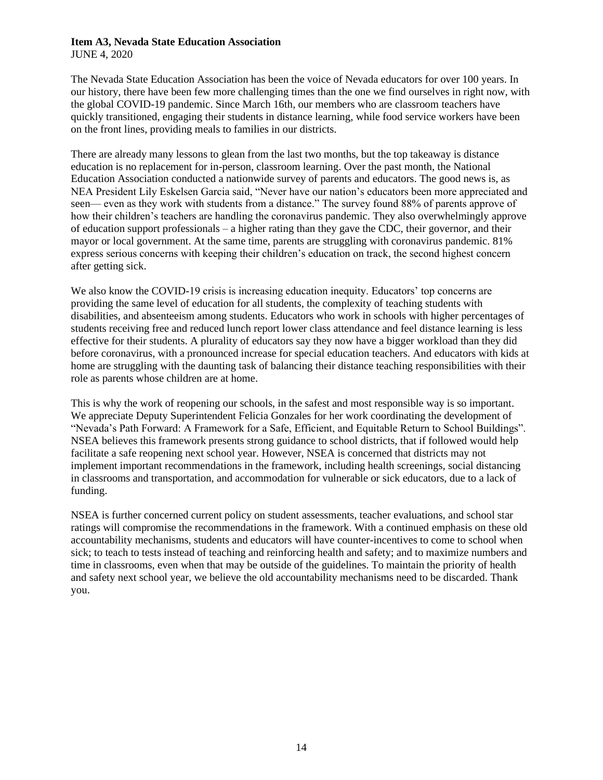# **Item A3, Nevada State Education Association**

JUNE 4, 2020

The Nevada State Education Association has been the voice of Nevada educators for over 100 years. In our history, there have been few more challenging times than the one we find ourselves in right now, with the global COVID-19 pandemic. Since March 16th, our members who are classroom teachers have quickly transitioned, engaging their students in distance learning, while food service workers have been on the front lines, providing meals to families in our districts.

There are already many lessons to glean from the last two months, but the top takeaway is distance education is no replacement for in-person, classroom learning. Over the past month, the National Education Association conducted a nationwide survey of parents and educators. The good news is, as NEA President Lily Eskelsen Garcia said, "Never have our nation's educators been more appreciated and seen— even as they work with students from a distance." The survey found 88% of parents approve of how their children's teachers are handling the coronavirus pandemic. They also overwhelmingly approve of education support professionals – a higher rating than they gave the CDC, their governor, and their mayor or local government. At the same time, parents are struggling with coronavirus pandemic. 81% express serious concerns with keeping their children's education on track, the second highest concern after getting sick.

We also know the COVID-19 crisis is increasing education inequity. Educators' top concerns are providing the same level of education for all students, the complexity of teaching students with disabilities, and absenteeism among students. Educators who work in schools with higher percentages of students receiving free and reduced lunch report lower class attendance and feel distance learning is less effective for their students. A plurality of educators say they now have a bigger workload than they did before coronavirus, with a pronounced increase for special education teachers. And educators with kids at home are struggling with the daunting task of balancing their distance teaching responsibilities with their role as parents whose children are at home.

This is why the work of reopening our schools, in the safest and most responsible way is so important. We appreciate Deputy Superintendent Felicia Gonzales for her work coordinating the development of "Nevada's Path Forward: A Framework for a Safe, Efficient, and Equitable Return to School Buildings". NSEA believes this framework presents strong guidance to school districts, that if followed would help facilitate a safe reopening next school year. However, NSEA is concerned that districts may not implement important recommendations in the framework, including health screenings, social distancing in classrooms and transportation, and accommodation for vulnerable or sick educators, due to a lack of funding.

NSEA is further concerned current policy on student assessments, teacher evaluations, and school star ratings will compromise the recommendations in the framework. With a continued emphasis on these old accountability mechanisms, students and educators will have counter-incentives to come to school when sick; to teach to tests instead of teaching and reinforcing health and safety; and to maximize numbers and time in classrooms, even when that may be outside of the guidelines. To maintain the priority of health and safety next school year, we believe the old accountability mechanisms need to be discarded. Thank you.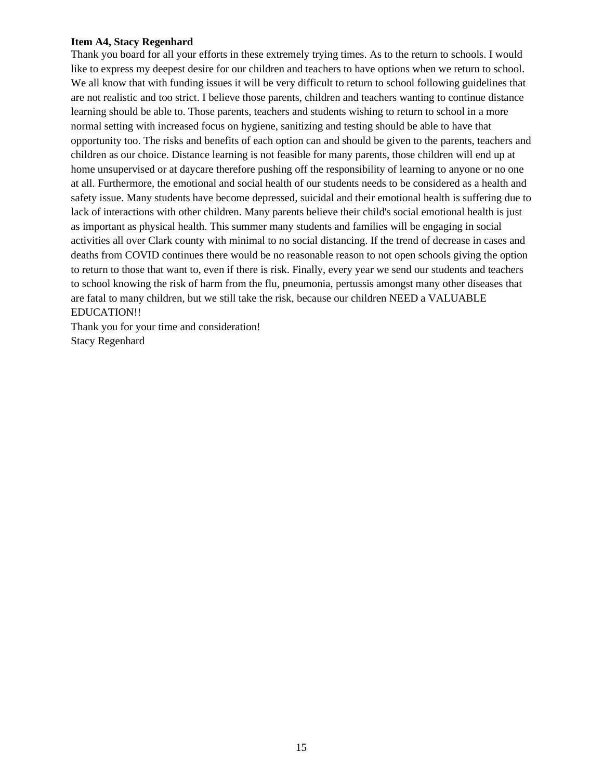# **Item A4, Stacy Regenhard**

Thank you board for all your efforts in these extremely trying times. As to the return to schools. I would like to express my deepest desire for our children and teachers to have options when we return to school. We all know that with funding issues it will be very difficult to return to school following guidelines that are not realistic and too strict. I believe those parents, children and teachers wanting to continue distance learning should be able to. Those parents, teachers and students wishing to return to school in a more normal setting with increased focus on hygiene, sanitizing and testing should be able to have that opportunity too. The risks and benefits of each option can and should be given to the parents, teachers and children as our choice. Distance learning is not feasible for many parents, those children will end up at home unsupervised or at daycare therefore pushing off the responsibility of learning to anyone or no one at all. Furthermore, the emotional and social health of our students needs to be considered as a health and safety issue. Many students have become depressed, suicidal and their emotional health is suffering due to lack of interactions with other children. Many parents believe their child's social emotional health is just as important as physical health. This summer many students and families will be engaging in social activities all over Clark county with minimal to no social distancing. If the trend of decrease in cases and deaths from COVID continues there would be no reasonable reason to not open schools giving the option to return to those that want to, even if there is risk. Finally, every year we send our students and teachers to school knowing the risk of harm from the flu, pneumonia, pertussis amongst many other diseases that are fatal to many children, but we still take the risk, because our children NEED a VALUABLE EDUCATION!!

Thank you for your time and consideration! Stacy Regenhard